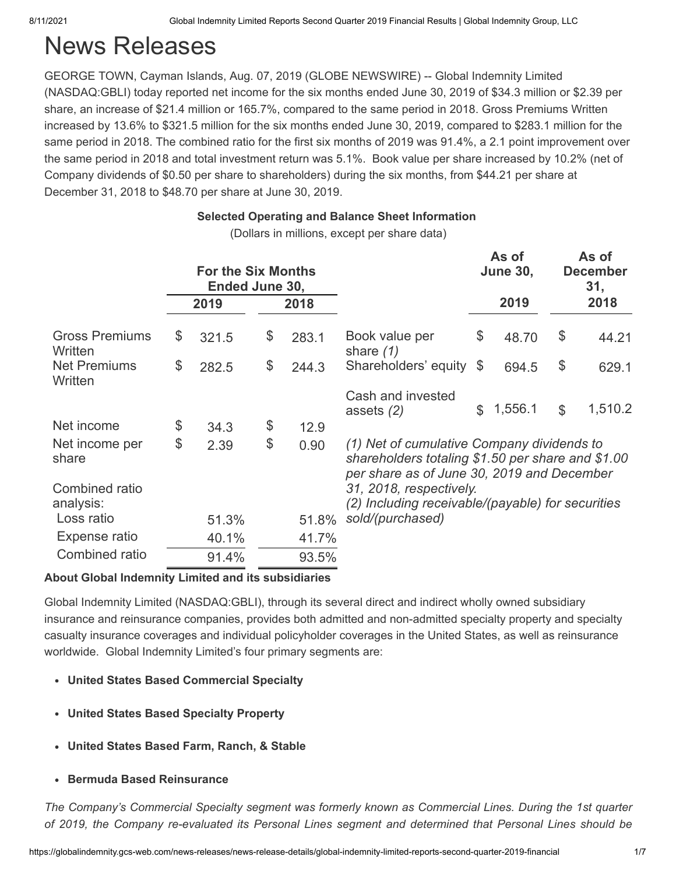# News Releases

GEORGE TOWN, Cayman Islands, Aug. 07, 2019 (GLOBE NEWSWIRE) -- Global Indemnity Limited (NASDAQ:GBLI) today reported net income for the six months ended June 30, 2019 of \$34.3 million or \$2.39 per share, an increase of \$21.4 million or 165.7%, compared to the same period in 2018. Gross Premiums Written increased by 13.6% to \$321.5 million for the six months ended June 30, 2019, compared to \$283.1 million for the same period in 2018. The combined ratio for the first six months of 2019 was 91.4%, a 2.1 point improvement over the same period in 2018 and total investment return was 5.1%. Book value per share increased by 10.2% (net of Company dividends of \$0.50 per share to shareholders) during the six months, from \$44.21 per share at December 31, 2018 to \$48.70 per share at June 30, 2019.

# **Selected Operating and Balance Sheet Information**

(Dollars in millions, except per share data)

|                                  |    |       | <b>For the Six Months</b><br>Ended June 30, |       |                                                                                                                                               |                | As of<br><b>June 30,</b> |               | As of<br><b>December</b><br>31, |
|----------------------------------|----|-------|---------------------------------------------|-------|-----------------------------------------------------------------------------------------------------------------------------------------------|----------------|--------------------------|---------------|---------------------------------|
|                                  |    | 2019  |                                             | 2018  |                                                                                                                                               |                | 2019                     |               | 2018                            |
| <b>Gross Premiums</b><br>Written | \$ | 321.5 | \$                                          | 283.1 | Book value per<br>share $(1)$                                                                                                                 | \$             | 48.70                    | \$            | 44.21                           |
| <b>Net Premiums</b><br>Written   | \$ | 282.5 | \$                                          | 244.3 | Shareholders' equity                                                                                                                          | \$             | 694.5                    | \$            | 629.1                           |
|                                  |    |       |                                             |       | Cash and invested<br>assets $(2)$                                                                                                             | $\mathbb{S}^-$ | 1,556.1                  | $\mathcal{L}$ | 1,510.2                         |
| Net income                       | \$ | 34.3  | \$                                          | 12.9  |                                                                                                                                               |                |                          |               |                                 |
| Net income per<br>share          | \$ | 2.39  | \$                                          | 0.90  | (1) Net of cumulative Company dividends to<br>shareholders totaling \$1.50 per share and \$1.00<br>per share as of June 30, 2019 and December |                |                          |               |                                 |
| Combined ratio<br>analysis:      |    |       |                                             |       | 31, 2018, respectively.<br>(2) Including receivable/(payable) for securities                                                                  |                |                          |               |                                 |
| Loss ratio                       |    | 51.3% |                                             | 51.8% | sold/(purchased)                                                                                                                              |                |                          |               |                                 |
| Expense ratio                    |    | 40.1% |                                             | 41.7% |                                                                                                                                               |                |                          |               |                                 |
| Combined ratio                   |    | 91.4% |                                             | 93.5% |                                                                                                                                               |                |                          |               |                                 |

### **About Global Indemnity Limited and its subsidiaries**

Global Indemnity Limited (NASDAQ:GBLI), through its several direct and indirect wholly owned subsidiary insurance and reinsurance companies, provides both admitted and non-admitted specialty property and specialty casualty insurance coverages and individual policyholder coverages in the United States, as well as reinsurance worldwide. Global Indemnity Limited's four primary segments are:

- **United States Based Commercial Specialty**
- **United States Based Specialty Property**
- **United States Based Farm, Ranch, & Stable**
- **Bermuda Based Reinsurance**

*The Company's Commercial Specialty segment was formerly known as Commercial Lines. During the 1st quarter of 2019, the Company re-evaluated its Personal Lines segment and determined that Personal Lines should be*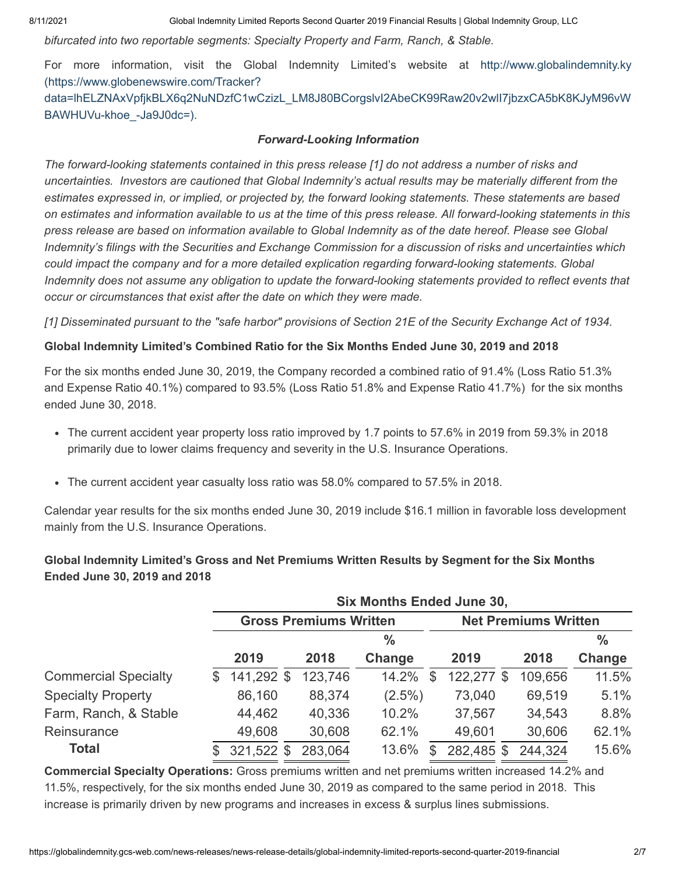*bifurcated into two reportable segments: Specialty Property and Farm, Ranch, & Stable.*

For more information, visit the Global Indemnity Limited's website at http://www.globalindemnity.ky (https://www.globenewswire.com/Tracker?

[data=lhELZNAxVpfjkBLX6q2NuNDzfC1wCzizL\\_LM8J80BCorgslvI2AbeCK99Raw20v2wlI7jbzxCA5bK8KJyM96vW](https://www.globenewswire.com/Tracker?data=lhELZNAxVpfjkBLX6q2NuNDzfC1wCzizL_LM8J80BCorgslvI2AbeCK99Raw20v2wlI7jbzxCA5bK8KJyM96vWBAWHUVu-khoe_-Ja9J0dc=) BAWHUVu-khoe\_-Ja9J0dc=).

#### *Forward-Looking Information*

*The forward-looking statements contained in this press release [1] do not address a number of risks and uncertainties. Investors are cautioned that Global Indemnity's actual results may be materially different from the estimates expressed in, or implied, or projected by, the forward looking statements. These statements are based on estimates and information available to us at the time of this press release. All forward-looking statements in this press release are based on information available to Global Indemnity as of the date hereof. Please see Global Indemnity's filings with the Securities and Exchange Commission for a discussion of risks and uncertainties which could impact the company and for a more detailed explication regarding forward-looking statements. Global Indemnity does not assume any obligation to update the forward-looking statements provided to reflect events that occur or circumstances that exist after the date on which they were made.* 

*[1] Disseminated pursuant to the "safe harbor" provisions of Section 21E of the Security Exchange Act of 1934.*

#### **Global Indemnity Limited's Combined Ratio for the Six Months Ended June 30, 2019 and 2018**

For the six months ended June 30, 2019, the Company recorded a combined ratio of 91.4% (Loss Ratio 51.3% and Expense Ratio 40.1%) compared to 93.5% (Loss Ratio 51.8% and Expense Ratio 41.7%) for the six months ended June 30, 2018.

- The current accident year property loss ratio improved by 1.7 points to 57.6% in 2019 from 59.3% in 2018 primarily due to lower claims frequency and severity in the U.S. Insurance Operations.
- The current accident year casualty loss ratio was 58.0% compared to 57.5% in 2018.

Calendar year results for the six months ended June 30, 2019 include \$16.1 million in favorable loss development mainly from the U.S. Insurance Operations.

#### **Global Indemnity Limited's Gross and Net Premiums Written Results by Segment for the Six Months Ended June 30, 2019 and 2018**

|                             |     |            | <b>Six Months Ended June 30,</b> |               |    |                             |         |               |  |  |  |  |  |
|-----------------------------|-----|------------|----------------------------------|---------------|----|-----------------------------|---------|---------------|--|--|--|--|--|
|                             |     |            | <b>Gross Premiums Written</b>    |               |    | <b>Net Premiums Written</b> |         |               |  |  |  |  |  |
|                             |     |            |                                  | $\frac{0}{0}$ |    |                             |         | $\frac{0}{0}$ |  |  |  |  |  |
|                             |     | 2019       | 2018                             | Change        |    | 2019                        | 2018    | Change        |  |  |  |  |  |
| <b>Commercial Specialty</b> | \$. | 141,292 \$ | 123,746                          | 14.2%         | \$ | 122,277 \$                  | 109,656 | 11.5%         |  |  |  |  |  |
| <b>Specialty Property</b>   |     | 86,160     | 88,374                           | $(2.5\%)$     |    | 73,040                      | 69,519  | 5.1%          |  |  |  |  |  |
| Farm, Ranch, & Stable       |     | 44,462     | 40,336                           | 10.2%         |    | 37,567                      | 34,543  | 8.8%          |  |  |  |  |  |
| Reinsurance                 |     | 49,608     | 30,608                           | 62.1%         |    | 49,601                      | 30,606  | 62.1%         |  |  |  |  |  |
| <b>Total</b>                |     | 321,522 \$ | 283,064                          | 13.6%         | \$ | 282,485 \$                  | 244,324 | 15.6%         |  |  |  |  |  |

**Commercial Specialty Operations:** Gross premiums written and net premiums written increased 14.2% and 11.5%, respectively, for the six months ended June 30, 2019 as compared to the same period in 2018. This increase is primarily driven by new programs and increases in excess & surplus lines submissions.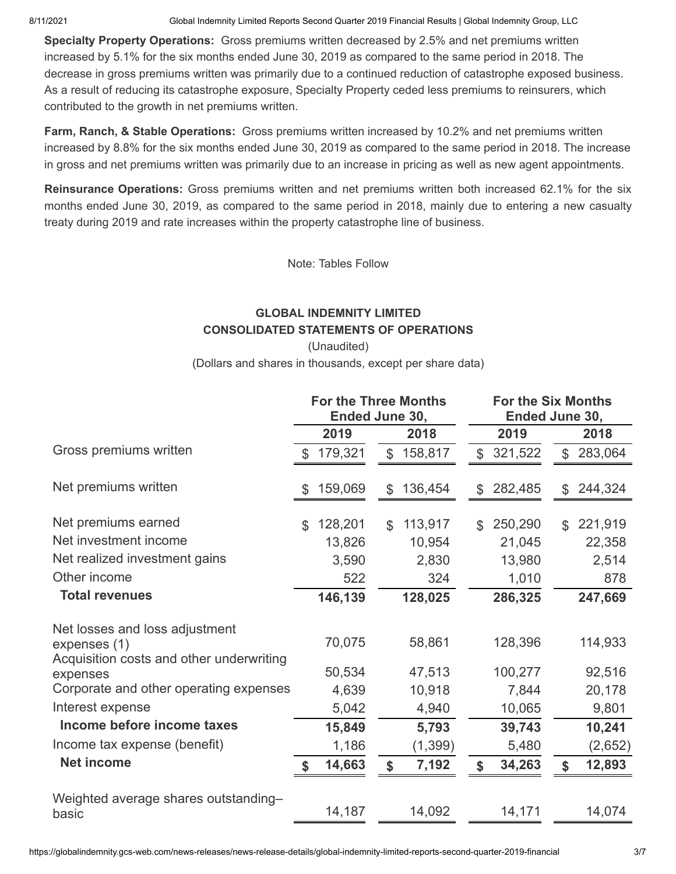8/11/2021 Global Indemnity Limited Reports Second Quarter 2019 Financial Results | Global Indemnity Group, LLC

**Specialty Property Operations:** Gross premiums written decreased by 2.5% and net premiums written increased by 5.1% for the six months ended June 30, 2019 as compared to the same period in 2018. The decrease in gross premiums written was primarily due to a continued reduction of catastrophe exposed business. As a result of reducing its catastrophe exposure, Specialty Property ceded less premiums to reinsurers, which contributed to the growth in net premiums written.

**Farm, Ranch, & Stable Operations:** Gross premiums written increased by 10.2% and net premiums written increased by 8.8% for the six months ended June 30, 2019 as compared to the same period in 2018. The increase in gross and net premiums written was primarily due to an increase in pricing as well as new agent appointments.

**Reinsurance Operations:** Gross premiums written and net premiums written both increased 62.1% for the six months ended June 30, 2019, as compared to the same period in 2018, mainly due to entering a new casualty treaty during 2019 and rate increases within the property catastrophe line of business.

Note: Tables Follow

# **GLOBAL INDEMNITY LIMITED CONSOLIDATED STATEMENTS OF OPERATIONS**

(Unaudited) (Dollars and shares in thousands, except per share data)

|                                                      |               | <b>For the Three Months</b><br>Ended June 30, |              |          |                |         |                | <b>For the Six Months</b><br>Ended June 30, |  |  |
|------------------------------------------------------|---------------|-----------------------------------------------|--------------|----------|----------------|---------|----------------|---------------------------------------------|--|--|
|                                                      |               | 2019                                          |              | 2018     |                | 2019    |                | 2018                                        |  |  |
| Gross premiums written                               |               | 179,321                                       | $\mathbb{S}$ | 158,817  | $\mathfrak{L}$ | 321,522 | $\mathbb{S}$   | 283,064                                     |  |  |
| Net premiums written                                 | \$            | 159,069                                       | \$           | 136,454  | \$             | 282,485 | \$             | 244,324                                     |  |  |
| Net premiums earned                                  | $\mathcal{S}$ | 128,201                                       | \$           | 113,917  | \$.            | 250,290 | $\mathfrak{L}$ | 221,919                                     |  |  |
| Net investment income                                |               | 13,826                                        |              | 10,954   |                | 21,045  |                | 22,358                                      |  |  |
| Net realized investment gains                        |               | 3,590                                         |              | 2,830    |                | 13,980  |                | 2,514                                       |  |  |
| Other income                                         |               | 522                                           |              | 324      |                | 1,010   |                | 878                                         |  |  |
| <b>Total revenues</b>                                |               | 146,139                                       |              | 128,025  |                | 286,325 |                | 247,669                                     |  |  |
| Net losses and loss adjustment<br>expenses (1)       |               | 70,075                                        |              | 58,861   |                | 128,396 |                | 114,933                                     |  |  |
| Acquisition costs and other underwriting<br>expenses |               | 50,534                                        |              | 47,513   |                | 100,277 |                | 92,516                                      |  |  |
| Corporate and other operating expenses               |               | 4,639                                         |              | 10,918   |                | 7,844   |                | 20,178                                      |  |  |
| Interest expense                                     |               | 5,042                                         |              | 4,940    |                | 10,065  |                | 9,801                                       |  |  |
| Income before income taxes                           |               | 15,849                                        |              | 5,793    |                | 39,743  |                | 10,241                                      |  |  |
| Income tax expense (benefit)                         |               | 1,186                                         |              | (1, 399) |                | 5,480   |                | (2,652)                                     |  |  |
| <b>Net income</b>                                    |               | 14,663                                        | \$           | 7,192    |                | 34,263  | \$             | 12,893                                      |  |  |
| Weighted average shares outstanding-<br>basic        |               | 14,187                                        |              | 14,092   |                | 14,171  |                | 14,074                                      |  |  |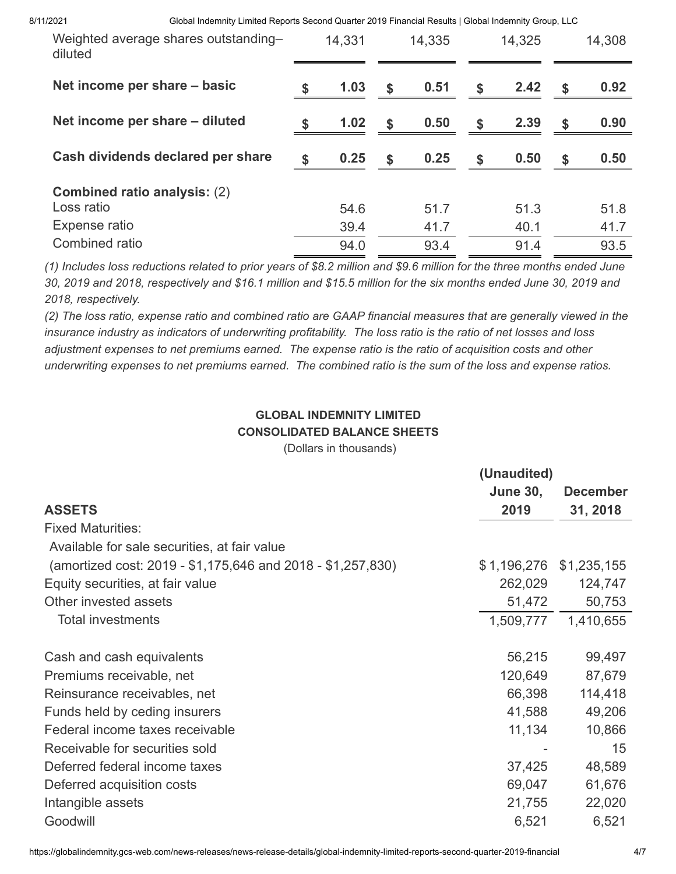8/11/2021 Global Indemnity Limited Reports Second Quarter 2019 Financial Results | Global Indemnity Group, LLC

| Weighted average shares outstanding-<br>diluted   | 14,331       |              | 14,335       | 14,325       |                           | 14,308       |
|---------------------------------------------------|--------------|--------------|--------------|--------------|---------------------------|--------------|
| Net income per share – basic                      | 1.03         | $\sqrt{5}$   | 0.51         | \$<br>2.42   | \$                        | 0.92         |
| Net income per share – diluted                    | \$<br>1.02   | \$           | 0.50         | \$<br>2.39   | $\boldsymbol{\mathsf{s}}$ | 0.90         |
| Cash dividends declared per share                 | 0.25         | $\mathbf{s}$ | 0.25         | \$<br>0.50   | \$                        | 0.50         |
| <b>Combined ratio analysis: (2)</b><br>Loss ratio | 54.6         |              | 51.7         | 51.3         |                           | 51.8         |
| Expense ratio<br>Combined ratio                   | 39.4<br>94.0 |              | 41.7<br>93.4 | 40.1<br>91.4 |                           | 41.7<br>93.5 |
|                                                   |              |              |              |              |                           |              |

*(1) Includes loss reductions related to prior years of \$8.2 million and \$9.6 million for the three months ended June 30, 2019 and 2018, respectively and \$16.1 million and \$15.5 million for the six months ended June 30, 2019 and 2018, respectively.*

*(2) The loss ratio, expense ratio and combined ratio are GAAP financial measures that are generally viewed in the insurance industry as indicators of underwriting profitability. The loss ratio is the ratio of net losses and loss adjustment expenses to net premiums earned. The expense ratio is the ratio of acquisition costs and other underwriting expenses to net premiums earned. The combined ratio is the sum of the loss and expense ratios.*

# **GLOBAL INDEMNITY LIMITED CONSOLIDATED BALANCE SHEETS**

(Dollars in thousands)

| <b>June 30,</b> | <b>December</b>                                              |
|-----------------|--------------------------------------------------------------|
| 2019            | 31, 2018                                                     |
|                 |                                                              |
|                 |                                                              |
|                 | \$1,235,155                                                  |
|                 | 124,747                                                      |
|                 | 50,753                                                       |
|                 | 1,410,655                                                    |
| 56,215          | 99,497                                                       |
| 120,649         | 87,679                                                       |
| 66,398          | 114,418                                                      |
| 41,588          | 49,206                                                       |
| 11,134          | 10,866                                                       |
|                 | 15                                                           |
| 37,425          | 48,589                                                       |
| 69,047          | 61,676                                                       |
| 21,755          | 22,020                                                       |
| 6,521           | 6,521                                                        |
|                 | (Unaudited)<br>\$1,196,276<br>262,029<br>51,472<br>1,509,777 |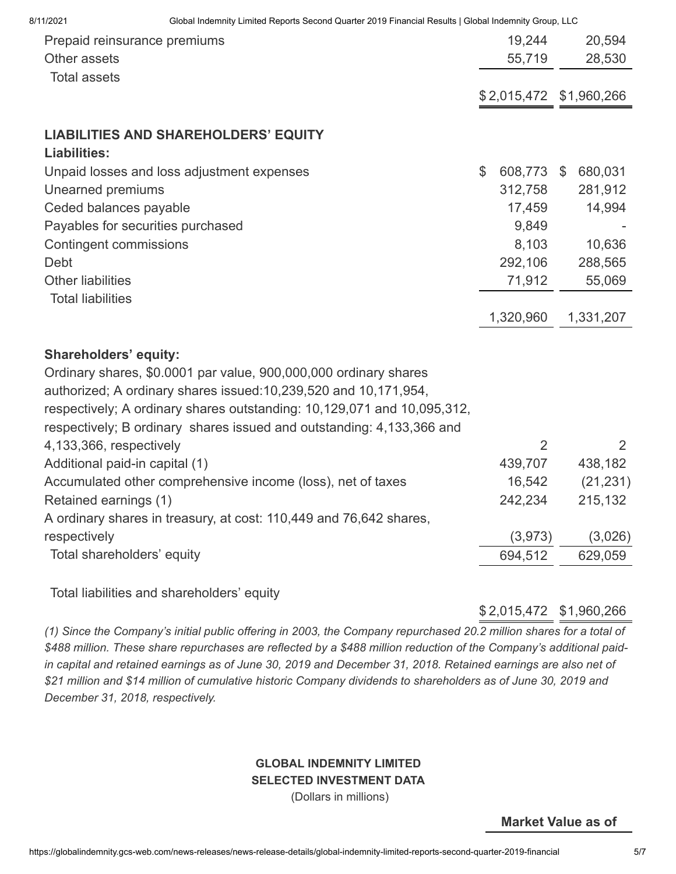| Prepaid reinsurance premiums<br>Other assets                                                                                                     |               | 19,244<br>55,719        | 20,594<br>28,530 |
|--------------------------------------------------------------------------------------------------------------------------------------------------|---------------|-------------------------|------------------|
| <b>Total assets</b>                                                                                                                              |               | \$2,015,472 \$1,960,266 |                  |
| <b>LIABILITIES AND SHAREHOLDERS' EQUITY</b><br><b>Liabilities:</b>                                                                               |               |                         |                  |
| Unpaid losses and loss adjustment expenses                                                                                                       | $\mathcal{L}$ | 608,773 \$              | 680,031          |
| Unearned premiums                                                                                                                                |               | 312,758                 | 281,912          |
| Ceded balances payable                                                                                                                           |               | 17,459                  | 14,994           |
| Payables for securities purchased                                                                                                                |               | 9,849                   |                  |
| <b>Contingent commissions</b>                                                                                                                    |               | 8,103                   | 10,636           |
| Debt                                                                                                                                             |               | 292,106                 | 288,565          |
| <b>Other liabilities</b>                                                                                                                         |               | 71,912                  | 55,069           |
| <b>Total liabilities</b>                                                                                                                         |               | 1,320,960               | 1,331,207        |
| <b>Shareholders' equity:</b>                                                                                                                     |               |                         |                  |
| Ordinary shares, \$0.0001 par value, 900,000,000 ordinary shares                                                                                 |               |                         |                  |
| authorized; A ordinary shares issued: 10, 239, 520 and 10, 171, 954,                                                                             |               |                         |                  |
| respectively; A ordinary shares outstanding: 10,129,071 and 10,095,312,<br>respectively; B ordinary shares issued and outstanding: 4,133,366 and |               |                         |                  |
| 4,133,366, respectively                                                                                                                          |               | $\overline{2}$          | 2                |
| Additional paid-in capital (1)                                                                                                                   |               | 439,707                 | 438,182          |
| Accumulated other comprehensive income (loss), net of taxes                                                                                      |               | 16,542                  | (21, 231)        |
| Retained earnings (1)                                                                                                                            |               | 242,234                 | 215,132          |
| A ordinary shares in treasury, at cost: 110,449 and 76,642 shares,                                                                               |               |                         |                  |
| respectively                                                                                                                                     |               | (3,973)                 | (3,026)          |
| Total shareholders' equity                                                                                                                       |               | 694,512                 | 629,059          |
|                                                                                                                                                  |               |                         |                  |

Total liabilities and shareholders' equity

\$ 2,015,472 \$1,960,266

*(1) Since the Company's initial public offering in 2003, the Company repurchased 20.2 million shares for a total of \$488 million. These share repurchases are reflected by a \$488 million reduction of the Company's additional paidin capital and retained earnings as of June 30, 2019 and December 31, 2018. Retained earnings are also net of \$21 million and \$14 million of cumulative historic Company dividends to shareholders as of June 30, 2019 and December 31, 2018, respectively.*

#### **GLOBAL INDEMNITY LIMITED SELECTED INVESTMENT DATA**

(Dollars in millions)

**Market Value as of**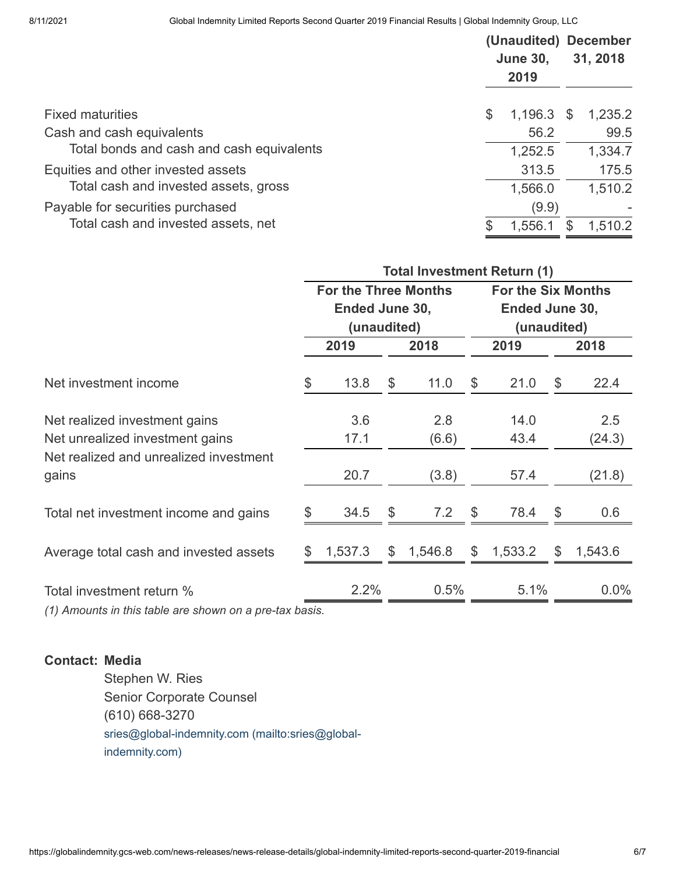|                                           | <b>June 30,</b><br>2019 | (Unaudited) December<br>31, 2018 |         |  |
|-------------------------------------------|-------------------------|----------------------------------|---------|--|
| <b>Fixed maturities</b>                   | \$<br>1,196.3           | <sup>S</sup>                     | 1,235.2 |  |
| Cash and cash equivalents                 | 56.2                    |                                  | 99.5    |  |
| Total bonds and cash and cash equivalents | 1,252.5                 |                                  | 1,334.7 |  |
| Equities and other invested assets        | 313.5                   |                                  | 175.5   |  |
| Total cash and invested assets, gross     | 1,566.0                 |                                  | 1,510.2 |  |
| Payable for securities purchased          | (9.9)                   |                                  |         |  |
| Total cash and invested assets, net       | 1,556.1                 |                                  | 1,510.2 |  |

|                                                                  | <b>Total Investment Return (1)</b>                           |             |               |              |               |              |                                                            |               |  |  |
|------------------------------------------------------------------|--------------------------------------------------------------|-------------|---------------|--------------|---------------|--------------|------------------------------------------------------------|---------------|--|--|
|                                                                  | <b>For the Three Months</b><br>Ended June 30,<br>(unaudited) |             |               |              |               |              | <b>For the Six Months</b><br>Ended June 30,<br>(unaudited) |               |  |  |
|                                                                  |                                                              | 2019        |               | 2018         |               | 2019         |                                                            | 2018          |  |  |
| Net investment income                                            | \$                                                           | 13.8        | \$            | 11.0         | \$            | 21.0         | \$                                                         | 22.4          |  |  |
| Net realized investment gains<br>Net unrealized investment gains |                                                              | 3.6<br>17.1 |               | 2.8<br>(6.6) |               | 14.0<br>43.4 |                                                            | 2.5<br>(24.3) |  |  |
| Net realized and unrealized investment<br>gains                  |                                                              | 20.7        |               | (3.8)        |               | 57.4         |                                                            | (21.8)        |  |  |
| Total net investment income and gains                            |                                                              | 34.5        | $\mathcal{L}$ | 7.2          | \$            | 78.4         | $\mathbb{S}$                                               | 0.6           |  |  |
| Average total cash and invested assets                           | S                                                            | 1,537.3     | \$            | 1,546.8      | $\mathcal{L}$ | 1,533.2      | $\mathcal{L}$                                              | 1,543.6       |  |  |
| Total investment return %                                        |                                                              | 2.2%        |               | 0.5%         |               | 5.1%         |                                                            | $0.0\%$       |  |  |
| $(1)$ Amounts in this table are shown an a pre-tay hasis         |                                                              |             |               |              |               |              |                                                            |               |  |  |

*(1) Amounts in this table are shown on a pre-tax basis.*

### **Contact: Media**

Stephen W. Ries Senior Corporate Counsel (610) 668-3270 [sries@global-indemnity.com \(mailto:sries@global](mailto:sries@global-indemnity.com)indemnity.com)